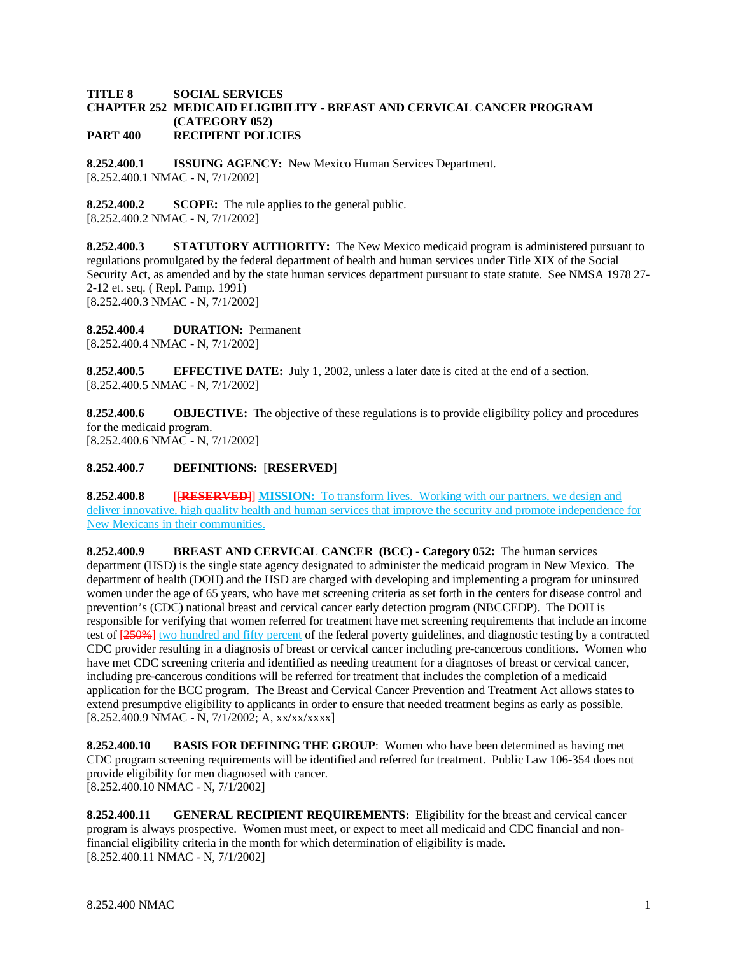## **TITLE 8 SOCIAL SERVICES CHAPTER 252 MEDICAID ELIGIBILITY - BREAST AND CERVICAL CANCER PROGRAM (CATEGORY 052) PART 400 RECIPIENT POLICIES**

**8.252.400.1 ISSUING AGENCY:** New Mexico Human Services Department. [8.252.400.1 NMAC - N, 7/1/2002]

**8.252.400.2 SCOPE:** The rule applies to the general public. [8.252.400.2 NMAC - N, 7/1/2002]

**8.252.400.3 STATUTORY AUTHORITY:** The New Mexico medicaid program is administered pursuant to regulations promulgated by the federal department of health and human services under Title XIX of the Social Security Act, as amended and by the state human services department pursuant to state statute. See NMSA 1978 27- 2-12 et. seq. ( Repl. Pamp. 1991) [8.252.400.3 NMAC - N, 7/1/2002]

**8.252.400.4 DURATION:** Permanent

[8.252.400.4 NMAC - N, 7/1/2002]

**8.252.400.5 EFFECTIVE DATE:** July 1, 2002, unless a later date is cited at the end of a section. [8.252.400.5 NMAC - N, 7/1/2002]

**8.252.400.6 OBJECTIVE:** The objective of these regulations is to provide eligibility policy and procedures for the medicaid program.

[8.252.400.6 NMAC - N, 7/1/2002]

## **8.252.400.7 DEFINITIONS:** [**RESERVED**]

**8.252.400.8** [**RESERVED**]] **MISSION:** To transform lives. Working with our partners, we design and deliver innovative, high quality health and human services that improve the security and promote independence for New Mexicans in their communities.

**8.252.400.9 BREAST AND CERVICAL CANCER (BCC) - Category 052:** The human services department (HSD) is the single state agency designated to administer the medicaid program in New Mexico. The department of health (DOH) and the HSD are charged with developing and implementing a program for uninsured women under the age of 65 years, who have met screening criteria as set forth in the centers for disease control and prevention's (CDC) national breast and cervical cancer early detection program (NBCCEDP). The DOH is responsible for verifying that women referred for treatment have met screening requirements that include an income test of [250%] two hundred and fifty percent of the federal poverty guidelines, and diagnostic testing by a contracted CDC provider resulting in a diagnosis of breast or cervical cancer including pre-cancerous conditions. Women who have met CDC screening criteria and identified as needing treatment for a diagnoses of breast or cervical cancer, including pre-cancerous conditions will be referred for treatment that includes the completion of a medicaid application for the BCC program. The Breast and Cervical Cancer Prevention and Treatment Act allows states to extend presumptive eligibility to applicants in order to ensure that needed treatment begins as early as possible. [8.252.400.9 NMAC - N, 7/1/2002; A, xx/xx/xxxx]

**8.252.400.10 BASIS FOR DEFINING THE GROUP**: Women who have been determined as having met CDC program screening requirements will be identified and referred for treatment. Public Law 106-354 does not provide eligibility for men diagnosed with cancer. [8.252.400.10 NMAC - N, 7/1/2002]

**8.252.400.11 GENERAL RECIPIENT REQUIREMENTS:** Eligibility for the breast and cervical cancer program is always prospective. Women must meet, or expect to meet all medicaid and CDC financial and nonfinancial eligibility criteria in the month for which determination of eligibility is made. [8.252.400.11 NMAC - N, 7/1/2002]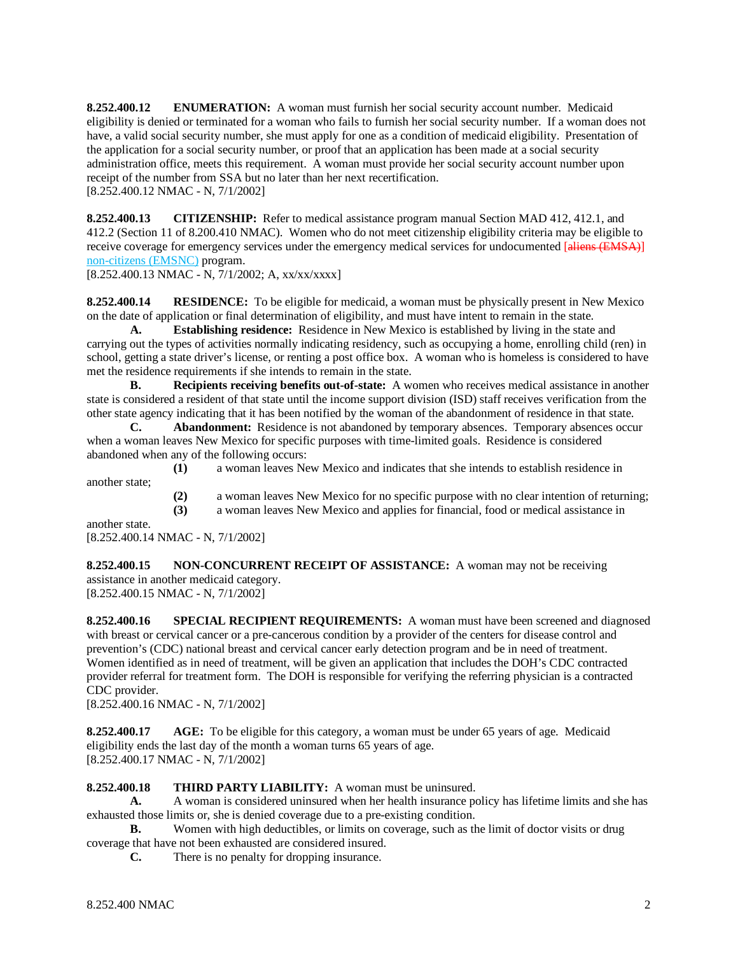**8.252.400.12 ENUMERATION:** A woman must furnish her social security account number. Medicaid eligibility is denied or terminated for a woman who fails to furnish her social security number. If a woman does not have, a valid social security number, she must apply for one as a condition of medicaid eligibility. Presentation of the application for a social security number, or proof that an application has been made at a social security administration office, meets this requirement. A woman must provide her social security account number upon receipt of the number from SSA but no later than her next recertification. [8.252.400.12 NMAC - N, 7/1/2002]

**8.252.400.13 CITIZENSHIP:** Refer to medical assistance program manual Section MAD 412, 412.1, and 412.2 (Section 11 of 8.200.410 NMAC). Women who do not meet citizenship eligibility criteria may be eligible to receive coverage for emergency services under the emergency medical services for undocumented [aliens (EMSA)] non-citizens (EMSNC) program.

[8.252.400.13 NMAC - N, 7/1/2002; A, xx/xx/xxxx]

**8.252.400.14 RESIDENCE:** To be eligible for medicaid, a woman must be physically present in New Mexico on the date of application or final determination of eligibility, and must have intent to remain in the state.

**A. Establishing residence:** Residence in New Mexico is established by living in the state and carrying out the types of activities normally indicating residency, such as occupying a home, enrolling child (ren) in school, getting a state driver's license, or renting a post office box. A woman who is homeless is considered to have met the residence requirements if she intends to remain in the state.

**B. Recipients receiving benefits out-of-state:** A women who receives medical assistance in another state is considered a resident of that state until the income support division (ISD) staff receives verification from the other state agency indicating that it has been notified by the woman of the abandonment of residence in that state.

**C. Abandonment:** Residence is not abandoned by temporary absences. Temporary absences occur when a woman leaves New Mexico for specific purposes with time-limited goals. Residence is considered abandoned when any of the following occurs:

- **(1)** a woman leaves New Mexico and indicates that she intends to establish residence in another state;
	- (2) a woman leaves New Mexico for no specific purpose with no clear intention of returning;<br>(3) a woman leaves New Mexico and applies for financial, food or medical assistance in

**(3)** a woman leaves New Mexico and applies for financial, food or medical assistance in

another state. [8.252.400.14 NMAC - N, 7/1/2002]

**8.252.400.15 NON-CONCURRENT RECEIPT OF ASSISTANCE:** A woman may not be receiving assistance in another medicaid category. [8.252.400.15 NMAC - N, 7/1/2002]

**8.252.400.16 SPECIAL RECIPIENT REQUIREMENTS:** A woman must have been screened and diagnosed with breast or cervical cancer or a pre-cancerous condition by a provider of the centers for disease control and prevention's (CDC) national breast and cervical cancer early detection program and be in need of treatment. Women identified as in need of treatment, will be given an application that includes the DOH's CDC contracted provider referral for treatment form. The DOH is responsible for verifying the referring physician is a contracted CDC provider.

[8.252.400.16 NMAC - N, 7/1/2002]

**8.252.400.17 AGE:** To be eligible for this category, a woman must be under 65 years of age. Medicaid eligibility ends the last day of the month a woman turns 65 years of age. [8.252.400.17 NMAC - N, 7/1/2002]

# **8.252.400.18 THIRD PARTY LIABILITY:** A woman must be uninsured.

**A.** A woman is considered uninsured when her health insurance policy has lifetime limits and she has exhausted those limits or, she is denied coverage due to a pre-existing condition.

**B.** Women with high deductibles, or limits on coverage, such as the limit of doctor visits or drug coverage that have not been exhausted are considered insured.

**C.** There is no penalty for dropping insurance.